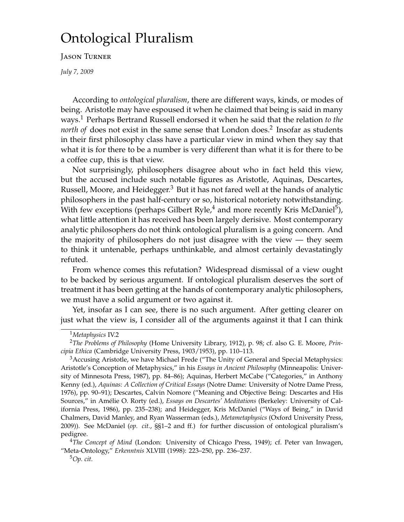# Ontological Pluralism

Jason Turner

*July 7, 2009*

According to *ontological pluralism*, there are different ways, kinds, or modes of being. Aristotle may have espoused it when he claimed that being is said in many ways.[1](#page-0-0) Perhaps Bertrand Russell endorsed it when he said that the relation *to the north of* does not exist in the same sense that London does.<sup>[2](#page-0-1)</sup> Insofar as students in their first philosophy class have a particular view in mind when they say that what it is for there to be a number is very different than what it is for there to be a coffee cup, this is that view.

Not surprisingly, philosophers disagree about who in fact held this view, but the accused include such notable figures as Aristotle, Aquinas, Descartes, Russell, Moore, and Heidegger.<sup>[3](#page-0-2)</sup> But it has not fared well at the hands of analytic philosophers in the past half-century or so, historical notoriety notwithstanding. With few exceptions (perhaps Gilbert Ryle, $^4$  $^4$  and more recently Kris McDaniel $^5$  $^5$ ), what little attention it has received has been largely derisive. Most contemporary analytic philosophers do not think ontological pluralism is a going concern. And the majority of philosophers do not just disagree with the view — they seem to think it untenable, perhaps unthinkable, and almost certainly devastatingly refuted.

From whence comes this refutation? Widespread dismissal of a view ought to be backed by serious argument. If ontological pluralism deserves the sort of treatment it has been getting at the hands of contemporary analytic philosophers, we must have a solid argument or two against it.

Yet, insofar as I can see, there is no such argument. After getting clearer on just what the view is, I consider all of the arguments against it that I can think

<span id="page-0-1"></span><span id="page-0-0"></span><sup>1</sup>*Metaphysics* IV.2

<sup>2</sup>*The Problems of Philosophy* (Home University Library, 1912), p. 98; cf. also G. E. Moore, *Principia Ethica* (Cambridge University Press, 1903/1953), pp. 110–113.

<span id="page-0-2"></span> $3A$ ccusing Aristotle, we have Michael Frede ("The Unity of General and Special Metaphysics: Aristotle's Conception of Metaphysics," in his *Essays in Ancient Philosophy* (Minneapolis: University of Minnesota Press, 1987), pp. 84–86); Aquinas, Herbert McCabe ("Categories," in Anthony Kenny (ed.), *Aquinas: A Collection of Critical Essays* (Notre Dame: University of Notre Dame Press, 1976), pp. 90–91); Descartes, Calvin Nomore ("Meaning and Objective Being: Descartes and His Sources," in Amélie O. Rorty (ed.), *Essays on Descartes' Meditations* (Berkeley: University of California Press, 1986), pp. 235–238); and Heidegger, Kris McDaniel ("Ways of Being," in David Chalmers, David Manley, and Ryan Wasserman (eds.), *Metametaphysics* (Oxford University Press, 2009)). See McDaniel (*op. cit.*, §§1–2 and ff.) for further discussion of ontological pluralism's pedigree.

<span id="page-0-3"></span><sup>4</sup>*The Concept of Mind* (London: University of Chicago Press, 1949); cf. Peter van Inwagen, "Meta-Ontology," *Erkenntnis* XLVIII (1998): 223–250, pp. 236–237.

<span id="page-0-4"></span><sup>5</sup>*Op. cit.*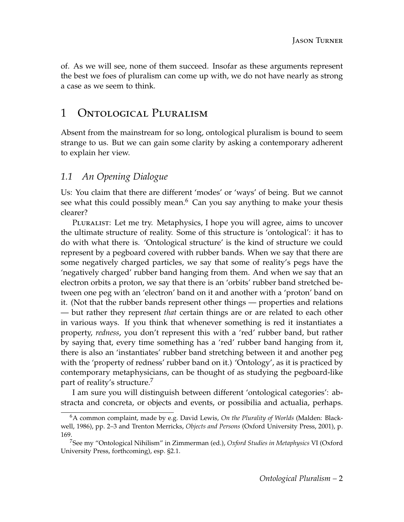of. As we will see, none of them succeed. Insofar as these arguments represent the best we foes of pluralism can come up with, we do not have nearly as strong a case as we seem to think.

# 1 Ontological Pluralism

Absent from the mainstream for so long, ontological pluralism is bound to seem strange to us. But we can gain some clarity by asking a contemporary adherent to explain her view.

### <span id="page-1-2"></span>*1.1 An Opening Dialogue*

Us: You claim that there are different 'modes' or 'ways' of being. But we cannot see what this could possibly mean. $6$  Can you say anything to make your thesis clearer?

Pluralist: Let me try. Metaphysics, I hope you will agree, aims to uncover the ultimate structure of reality. Some of this structure is 'ontological': it has to do with what there is. 'Ontological structure' is the kind of structure we could represent by a pegboard covered with rubber bands. When we say that there are some negatively charged particles, we say that some of reality's pegs have the 'negatively charged' rubber band hanging from them. And when we say that an electron orbits a proton, we say that there is an 'orbits' rubber band stretched between one peg with an 'electron' band on it and another with a 'proton' band on it. (Not that the rubber bands represent other things — properties and relations — but rather they represent *that* certain things are or are related to each other in various ways. If you think that whenever something is red it instantiates a property, *redness*, you don't represent this with a 'red' rubber band, but rather by saying that, every time something has a 'red' rubber band hanging from it, there is also an 'instantiates' rubber band stretching between it and another peg with the 'property of redness' rubber band on it.) 'Ontology', as it is practiced by contemporary metaphysicians, can be thought of as studying the pegboard-like part of reality's structure.<sup>[7](#page-1-1)</sup>

I am sure you will distinguish between different 'ontological categories': abstracta and concreta, or objects and events, or possibilia and actualia, perhaps.

<span id="page-1-0"></span><sup>6</sup>A common complaint, made by e.g. David Lewis, *On the Plurality of Worlds* (Malden: Blackwell, 1986), pp. 2–3 and Trenton Merricks, *Objects and Persons* (Oxford University Press, 2001), p. 169.

<span id="page-1-1"></span><sup>7</sup>See my "Ontological Nihilism" in Zimmerman (ed.), *Oxford Studies in Metaphysics* VI (Oxford University Press, forthcoming), esp. §2.1.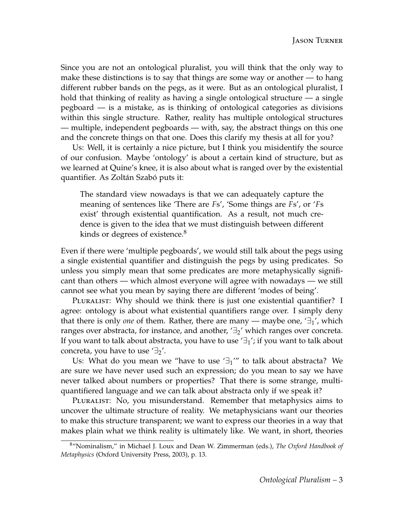Since you are not an ontological pluralist, you will think that the only way to make these distinctions is to say that things are some way or another — to hang different rubber bands on the pegs, as it were. But as an ontological pluralist, I hold that thinking of reality as having a single ontological structure — a single pegboard — is a mistake, as is thinking of ontological categories as divisions within this single structure. Rather, reality has multiple ontological structures — multiple, independent pegboards — with, say, the abstract things on this one and the concrete things on that one. Does this clarify my thesis at all for you?

Us: Well, it is certainly a nice picture, but I think you misidentify the source of our confusion. Maybe 'ontology' is about a certain kind of structure, but as we learned at Quine's knee, it is also about what is ranged over by the existential quantifier. As Zoltán Szabó puts it:

The standard view nowadays is that we can adequately capture the meaning of sentences like 'There are *F*s', 'Some things are *F*s', or '*F*s exist' through existential quantification. As a result, not much credence is given to the idea that we must distinguish between different kinds or degrees of existence.<sup>[8](#page-2-0)</sup>

Even if there were 'multiple pegboards', we would still talk about the pegs using a single existential quantifier and distinguish the pegs by using predicates. So unless you simply mean that some predicates are more metaphysically significant than others — which almost everyone will agree with nowadays — we still cannot see what you mean by saying there are different 'modes of being'.

PLURALIST: Why should we think there is just one existential quantifier? I agree: ontology is about what existential quantifiers range over. I simply deny that there is only *one* of them. Rather, there are many — maybe one,  $\exists_1$ ', which ranges over abstracta, for instance, and another,  $\exists$ <sup>2</sup> which ranges over concreta. If you want to talk about abstracta, you have to use  $\exists$ <sup>1</sup>; if you want to talk about concreta, you have to use  $\mathcal{F}_2$ '.

Us: What do you mean we "have to use  $\exists_1$ " to talk about abstracta? We are sure we have never used such an expression; do you mean to say we have never talked about numbers or properties? That there is some strange, multiquantifiered language and we can talk about abstracta only if we speak it?

PLURALIST: No, you misunderstand. Remember that metaphysics aims to uncover the ultimate structure of reality. We metaphysicians want our theories to make this structure transparent; we want to express our theories in a way that makes plain what we think reality is ultimately like. We want, in short, theories

<span id="page-2-0"></span><sup>8</sup>"Nominalism," in Michael J. Loux and Dean W. Zimmerman (eds.), *The Oxford Handbook of Metaphysics* (Oxford University Press, 2003), p. 13.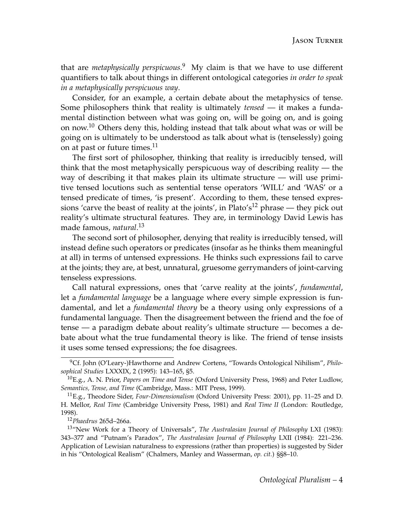that are *metaphysically perspicuous*. [9](#page-3-0) My claim is that we have to use different quantifiers to talk about things in different ontological categories *in order to speak in a metaphysically perspicuous way*.

Consider, for an example, a certain debate about the metaphysics of tense. Some philosophers think that reality is ultimately *tensed* — it makes a fundamental distinction between what was going on, will be going on, and is going on now.<sup>[10](#page-3-1)</sup> Others deny this, holding instead that talk about what was or will be going on is ultimately to be understood as talk about what is (tenselessly) going on at past or future times.<sup>[11](#page-3-2)</sup>

The first sort of philosopher, thinking that reality is irreducibly tensed, will think that the most metaphysically perspicuous way of describing reality — the way of describing it that makes plain its ultimate structure — will use primitive tensed locutions such as sentential tense operators 'WILL' and 'WAS' or a tensed predicate of times, 'is present'. According to them, these tensed expres-sions 'carve the beast of reality at the joints', in Plato's<sup>[12](#page-3-3)</sup> phrase — they pick out reality's ultimate structural features. They are, in terminology David Lewis has made famous, *natural*. [13](#page-3-4)

The second sort of philosopher, denying that reality is irreducibly tensed, will instead define such operators or predicates (insofar as he thinks them meaningful at all) in terms of untensed expressions. He thinks such expressions fail to carve at the joints; they are, at best, unnatural, gruesome gerrymanders of joint-carving tenseless expressions.

Call natural expressions, ones that 'carve reality at the joints', *fundamental*, let a *fundamental language* be a language where every simple expression is fundamental, and let a *fundamental theory* be a theory using only expressions of a fundamental language. Then the disagreement between the friend and the foe of tense — a paradigm debate about reality's ultimate structure — becomes a debate about what the true fundamental theory is like. The friend of tense insists it uses some tensed expressions; the foe disagrees.

<span id="page-3-0"></span><sup>9</sup>Cf. John (O'Leary-)Hawthorne and Andrew Cortens, "Towards Ontological Nihilism", *Philosophical Studies* LXXXIX, 2 (1995): 143–165, §5.

<span id="page-3-1"></span><sup>10</sup>E.g., A. N. Prior, *Papers on Time and Tense* (Oxford University Press, 1968) and Peter Ludlow, *Semantics, Tense, and Time* (Cambridge, Mass.: MIT Press, 1999).

<span id="page-3-2"></span><sup>11</sup>E.g., Theodore Sider, *Four-Dimensionalism* (Oxford University Press: 2001), pp. 11–25 and D. H. Mellor, *Real Time* (Cambridge University Press, 1981) and *Real Time II* (London: Routledge, 1998).

<span id="page-3-4"></span><span id="page-3-3"></span><sup>12</sup>*Phaedrus* 265d–266a.

<sup>13</sup>"New Work for a Theory of Universals", *The Australasian Journal of Philosophy* LXI (1983): 343–377 and "Putnam's Paradox", *The Australasian Journal of Philosophy* LXII (1984): 221–236. Application of Lewisian naturalness to expressions (rather than properties) is suggested by Sider in his "Ontological Realism" (Chalmers, Manley and Wasserman, *op. cit.*) §§8–10.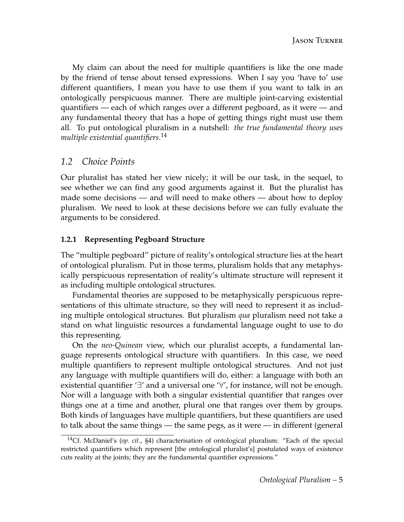My claim can about the need for multiple quantifiers is like the one made by the friend of tense about tensed expressions. When I say you 'have to' use different quantifiers, I mean you have to use them if you want to talk in an ontologically perspicuous manner. There are multiple joint-carving existential quantifiers — each of which ranges over a different pegboard, as it were — and any fundamental theory that has a hope of getting things right must use them all. To put ontological pluralism in a nutshell: *the true fundamental theory uses multiple existential quantifiers*. [14](#page-4-0)

### *1.2 Choice Points*

Our pluralist has stated her view nicely; it will be our task, in the sequel, to see whether we can find any good arguments against it. But the pluralist has made some decisions — and will need to make others — about how to deploy pluralism. We need to look at these decisions before we can fully evaluate the arguments to be considered.

#### **1.2.1 Representing Pegboard Structure**

The "multiple pegboard" picture of reality's ontological structure lies at the heart of ontological pluralism. Put in those terms, pluralism holds that any metaphysically perspicuous representation of reality's ultimate structure will represent it as including multiple ontological structures.

Fundamental theories are supposed to be metaphysically perspicuous representations of this ultimate structure, so they will need to represent it as including multiple ontological structures. But pluralism *qua* pluralism need not take a stand on what linguistic resources a fundamental language ought to use to do this representing.

On the *neo-Quinean* view, which our pluralist accepts, a fundamental language represents ontological structure with quantifiers. In this case, we need multiple quantifiers to represent multiple ontological structures. And not just any language with multiple quantifiers will do, either: a language with both an existential quantifier '∃' and a universal one '∀', for instance, will not be enough. Nor will a language with both a singular existential quantifier that ranges over things one at a time and another, plural one that ranges over them by groups. Both kinds of languages have multiple quantifiers, but these quantifiers are used to talk about the same things — the same pegs, as it were — in different (general

<span id="page-4-0"></span><sup>14</sup>Cf. McDaniel's (*op. cit.*, §4) characterisation of ontological pluralism: "Each of the special restricted quantifiers which represent [the ontological pluralist's] postulated ways of existence cuts reality at the joints; they are the fundamental quantifier expressions."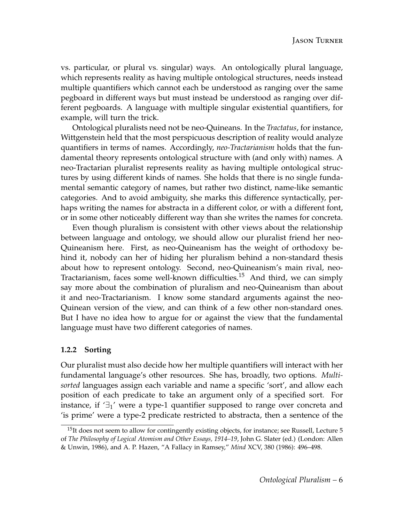vs. particular, or plural vs. singular) ways. An ontologically plural language, which represents reality as having multiple ontological structures, needs instead multiple quantifiers which cannot each be understood as ranging over the same pegboard in different ways but must instead be understood as ranging over different pegboards. A language with multiple singular existential quantifiers, for example, will turn the trick.

Ontological pluralists need not be neo-Quineans. In the *Tractatus*, for instance, Wittgenstein held that the most perspicuous description of reality would analyze quantifiers in terms of names. Accordingly, *neo-Tractarianism* holds that the fundamental theory represents ontological structure with (and only with) names. A neo-Tractarian pluralist represents reality as having multiple ontological structures by using different kinds of names. She holds that there is no single fundamental semantic category of names, but rather two distinct, name-like semantic categories. And to avoid ambiguity, she marks this difference syntactically, perhaps writing the names for abstracta in a different color, or with a different font, or in some other noticeably different way than she writes the names for concreta.

Even though pluralism is consistent with other views about the relationship between language and ontology, we should allow our pluralist friend her neo-Quineanism here. First, as neo-Quineanism has the weight of orthodoxy behind it, nobody can her of hiding her pluralism behind a non-standard thesis about how to represent ontology. Second, neo-Quineanism's main rival, neo-Tractarianism, faces some well-known difficulties.[15](#page-5-0) And third, we can simply say more about the combination of pluralism and neo-Quineanism than about it and neo-Tractarianism. I know some standard arguments against the neo-Quinean version of the view, and can think of a few other non-standard ones. But I have no idea how to argue for or against the view that the fundamental language must have two different categories of names.

#### **1.2.2 Sorting**

Our pluralist must also decide how her multiple quantifiers will interact with her fundamental language's other resources. She has, broadly, two options. *Multisorted* languages assign each variable and name a specific 'sort', and allow each position of each predicate to take an argument only of a specified sort. For instance, if  $\exists$ <sup>1</sup>' were a type-1 quantifier supposed to range over concreta and 'is prime' were a type-2 predicate restricted to abstracta, then a sentence of the

<span id="page-5-0"></span><sup>&</sup>lt;sup>15</sup>It does not seem to allow for contingently existing objects, for instance; see Russell, Lecture 5 of *The Philosophy of Logical Atomism and Other Essays, 1914–19*, John G. Slater (ed.) (London: Allen & Unwin, 1986), and A. P. Hazen, "A Fallacy in Ramsey," *Mind* XCV, 380 (1986): 496–498.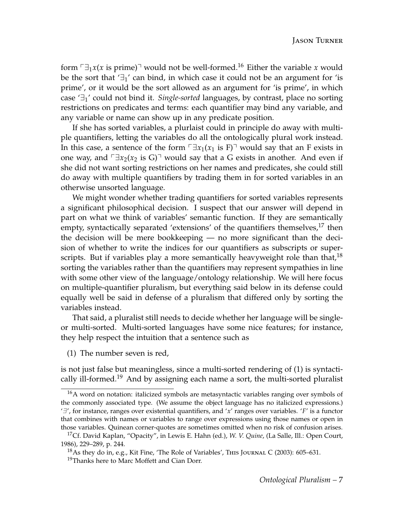form  $\lceil \exists_1 x(x \text{ is prime}) \rceil$  would not be well-formed.<sup>[16](#page-6-0)</sup> Either the variable *x* would be the sort that  $\exists$ <sup>1</sup> can bind, in which case it could not be an argument for 'is prime', or it would be the sort allowed as an argument for 'is prime', in which case '∃1' could not bind it. *Single-sorted* languages, by contrast, place no sorting restrictions on predicates and terms: each quantifier may bind any variable, and any variable or name can show up in any predicate position.

If she has sorted variables, a plurlaist could in principle do away with multiple quantifiers, letting the variables do all the ontologically plural work instead. In this case, a sentence of the form  $\exists x_1(x_1 \text{ is } F)$ <sup> $\exists$ </sup> would say that an F exists in one way, and  $\Box x_2(x_2)$  is G)<sup> $\Box$ </sup> would say that a G exists in another. And even if she did not want sorting restrictions on her names and predicates, she could still do away with multiple quantifiers by trading them in for sorted variables in an otherwise unsorted language.

We might wonder whether trading quantifiers for sorted variables represents a significant philosophical decision. I suspect that our answer will depend in part on what we think of variables' semantic function. If they are semantically empty, syntactically separated 'extensions' of the quantifiers themselves,<sup>[17](#page-6-1)</sup> then the decision will be mere bookkeeping — no more significant than the decision of whether to write the indices for our quantifiers as subscripts or superscripts. But if variables play a more semantically heavyweight role than that,  $18$ sorting the variables rather than the quantifiers may represent sympathies in line with some other view of the language/ontology relationship. We will here focus on multiple-quantifier pluralism, but everything said below in its defense could equally well be said in defense of a pluralism that differed only by sorting the variables instead.

That said, a pluralist still needs to decide whether her language will be singleor multi-sorted. Multi-sorted languages have some nice features; for instance, they help respect the intuition that a sentence such as

<span id="page-6-3"></span>(1) The number seven is red,

is not just false but meaningless, since a multi-sorted rendering of [\(1\)](#page-6-3) is syntacti-cally ill-formed.<sup>[19](#page-6-4)</sup> And by assigning each name a sort, the multi-sorted pluralist

<span id="page-6-0"></span><sup>16</sup>A word on notation: italicized symbols are metasyntactic variables ranging over symbols of the commonly associated type. (We assume the object language has no italicized expressions.)  $'J'$ , for instance, ranges over existential quantifiers, and '*x*' ranges over variables. '*F*' is a functor that combines with names or variables to range over expressions using those names or open in those variables. Quinean corner-quotes are sometimes omitted when no risk of confusion arises.

<span id="page-6-1"></span><sup>17</sup>Cf. David Kaplan, "Opacity", in Lewis E. Hahn (ed.), *W. V. Quine*, (La Salle, Ill.: Open Court, 1986), 229–289, p. 244.

<span id="page-6-4"></span><span id="page-6-2"></span><sup>&</sup>lt;sup>18</sup>As they do in, e.g., Kit Fine, 'The Role of Variables', THIS JOURNAL C (2003): 605-631. <sup>19</sup>Thanks here to Marc Moffett and Cian Dorr.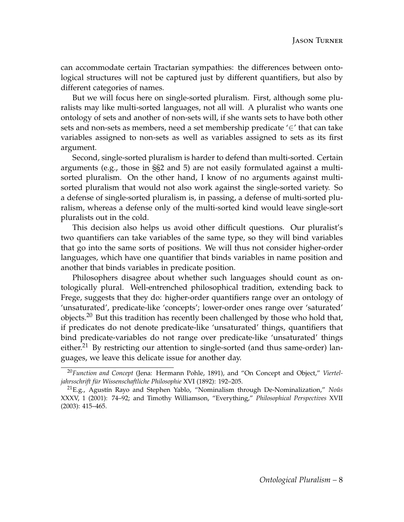can accommodate certain Tractarian sympathies: the differences between ontological structures will not be captured just by different quantifiers, but also by different categories of names.

But we will focus here on single-sorted pluralism. First, although some pluralists may like multi-sorted languages, not all will. A pluralist who wants one ontology of sets and another of non-sets will, if she wants sets to have both other sets and non-sets as members, need a set membership predicate '∈' that can take variables assigned to non-sets as well as variables assigned to sets as its first argument.

Second, single-sorted pluralism is harder to defend than multi-sorted. Certain arguments (e.g., those in §[§2](#page-8-0) and [5\)](#page-20-0) are not easily formulated against a multisorted pluralism. On the other hand, I know of no arguments against multisorted pluralism that would not also work against the single-sorted variety. So a defense of single-sorted pluralism is, in passing, a defense of multi-sorted pluralism, whereas a defense only of the multi-sorted kind would leave single-sort pluralists out in the cold.

This decision also helps us avoid other difficult questions. Our pluralist's two quantifiers can take variables of the same type, so they will bind variables that go into the same sorts of positions. We will thus not consider higher-order languages, which have one quantifier that binds variables in name position and another that binds variables in predicate position.

Philosophers disagree about whether such languages should count as ontologically plural. Well-entrenched philosophical tradition, extending back to Frege, suggests that they do: higher-order quantifiers range over an ontology of 'unsaturated', predicate-like 'concepts'; lower-order ones range over 'saturated' objects.<sup>[20](#page-7-0)</sup> But this tradition has recently been challenged by those who hold that, if predicates do not denote predicate-like 'unsaturated' things, quantifiers that bind predicate-variables do not range over predicate-like 'unsaturated' things either.<sup>[21](#page-7-1)</sup> By restricting our attention to single-sorted (and thus same-order) languages, we leave this delicate issue for another day.

<span id="page-7-0"></span><sup>20</sup>*Function and Concept* (Jena: Hermann Pohle, 1891), and "On Concept and Object," *Vierteljahrsschrift für Wissenschaftliche Philosophie* XVI (1892): 192–205.

<span id="page-7-1"></span><sup>21</sup>E.g., Agustín Rayo and Stephen Yablo, "Nominalism through De-Nominalization," *Noûs* XXXV, 1 (2001): 74–92; and Timothy Williamson, "Everything," *Philosophical Perspectives* XVII (2003): 415–465.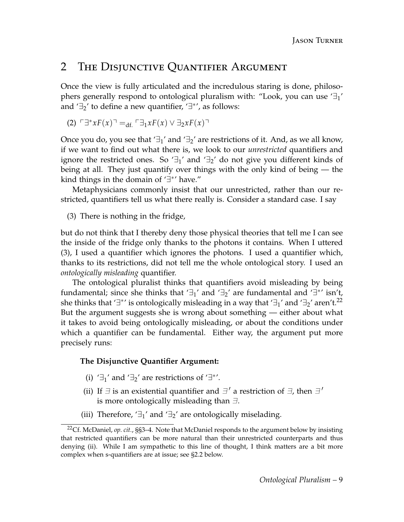### <span id="page-8-0"></span>2 The Disjunctive Quantifier Argument

Once the view is fully articulated and the incredulous staring is done, philosophers generally respond to ontological pluralism with: "Look, you can use  $\exists_1$ ' and  $\exists_2$ ' to define a new quantifier,  $\exists$ <sup>\*</sup>', as follows:

$$
(2) \quad \Box^* x F(x) =_{\mathrm{df.}} \Box x F(x) \lor \Box_2 x F(x) \Box
$$

Once you do, you see that  $\exists_1'$  and  $\exists_2'$  are restrictions of it. And, as we all know, if we want to find out what there is, we look to our *unrestricted* quantifiers and ignore the restricted ones. So  $\exists_1$ ' and  $\exists_2$ ' do not give you different kinds of being at all. They just quantify over things with the only kind of being — the kind things in the domain of '∃ ∗ ' have."

Metaphysicians commonly insist that our unrestricted, rather than our restricted, quantifiers tell us what there really is. Consider a standard case. I say

<span id="page-8-1"></span>(3) There is nothing in the fridge,

but do not think that I thereby deny those physical theories that tell me I can see the inside of the fridge only thanks to the photons it contains. When I uttered [\(3\)](#page-8-1), I used a quantifier which ignores the photons. I used a quantifier which, thanks to its restrictions, did not tell me the whole ontological story. I used an *ontologically misleading* quantifier.

The ontological pluralist thinks that quantifiers avoid misleading by being fundamental; since she thinks that ' $\exists_1$ ' and ' $\exists_2$ ' are fundamental and ' $\exists^*$ ' isn't, she thinks that '∃\*' is ontologically misleading in a way that '∃<sub>1</sub>' and '∃<sub>2</sub>' aren't.<sup>[22](#page-8-2)</sup> But the argument suggests she is wrong about something — either about what it takes to avoid being ontologically misleading, or about the conditions under which a quantifier can be fundamental. Either way, the argument put more precisely runs:

#### **The Disjunctive Quantifier Argument:**

- (i) ' $\exists_1$ ' and ' $\exists_2$ ' are restrictions of ' $\exists$ <sup>\*'</sup>.
- (ii) If  $\exists$  is an existential quantifier and  $\exists'$  a restriction of  $\exists$ , then  $\exists'$ is more ontologically misleading than  $\exists$ .
- (iii) Therefore,  $'\exists_1'$  and  $'\exists_2'$  are ontologically miselading.

<span id="page-8-2"></span><sup>22</sup>Cf. McDaniel, *op. cit.*, §§3–4. Note that McDaniel responds to the argument below by insisting that restricted quantifiers can be more natural than their unrestricted counterparts and thus denying (ii). While I am sympathetic to this line of thought, I think matters are a bit more complex when s-quantifiers are at issue; see [§2.2](#page-11-0) below.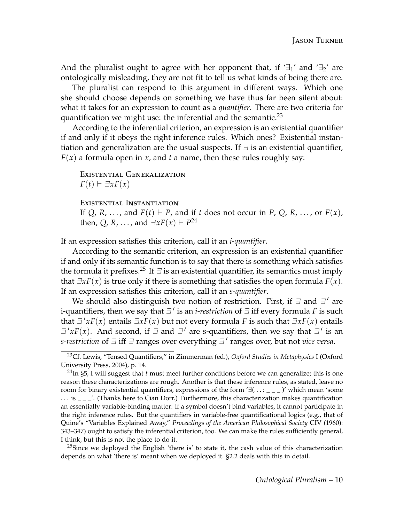And the pluralist ought to agree with her opponent that, if  $\exists_1$ ' and  $\exists_2$ ' are ontologically misleading, they are not fit to tell us what kinds of being there are.

The pluralist can respond to this argument in different ways. Which one she should choose depends on something we have thus far been silent about: what it takes for an expression to count as a *quantifier*. There are two criteria for quantification we might use: the inferential and the semantic. $^{23}$  $^{23}$  $^{23}$ 

According to the inferential criterion, an expression is an existential quantifier if and only if it obeys the right inference rules. Which ones? Existential instantiation and generalization are the usual suspects. If  $\exists$  is an existential quantifier,  $F(x)$  a formula open in *x*, and *t* a name, then these rules roughly say:

Existential Generalization  $F(t) \vdash \exists x F(x)$ 

Existential Instantiation

If  $Q$ ,  $R$ , ..., and  $F(t) \vdash P$ , and if  $t$  does not occur in  $P$ ,  $Q$ ,  $R$ , ..., or  $F(x)$ , then, Q, R, ..., and  $\exists x F(x) \vdash P^{24}$  $\exists x F(x) \vdash P^{24}$  $\exists x F(x) \vdash P^{24}$ 

If an expression satisfies this criterion, call it an *i-quantifier*.

According to the semantic criterion, an expression is an existential quantifier if and only if its semantic function is to say that there is something which satisfies the formula it prefixes.<sup>[25](#page-9-2)</sup> If  $\exists$  is an existential quantifier, its semantics must imply that  $\exists x F(x)$  is true only if there is something that satisfies the open formula  $F(x)$ . If an expression satisfies this criterion, call it an *s-quantifier*.

We should also distinguish two notion of restriction. First, if  $\exists$  and  $\exists'$  are i-quantifiers, then we say that  $\exists$  ' is an *i-restriction* of  $\exists$  iff every formula *F* is such that  $\exists' x F(x)$  entails  $\exists x F(x)$  but not every formula *F* is such that  $\exists x F(x)$  entails  $\exists' x F(x)$ . And second, if  $\exists$  and  $\exists'$  are s-quantifiers, then we say that  $\exists'$  is an *s-restriction* of  $\exists$  iff  $\exists$  ranges over everything  $\exists'$  ranges over, but not *vice versa*.

<span id="page-9-2"></span> $^{25}$ Since we deployed the English 'there is' to state it, the cash value of this characterization depends on what 'there is' meant when we deployed it. [§2.2](#page-11-0) deals with this in detail.

<span id="page-9-0"></span><sup>23</sup>Cf. Lewis, "Tensed Quantifiers," in Zimmerman (ed.), *Oxford Studies in Metaphysics* I (Oxford University Press, 2004), p. 14.

<span id="page-9-1"></span><sup>24</sup>In [§5,](#page-20-0) I will suggest that *t* must meet further conditions before we can generalize; this is one reason these characterizations are rough. Another is that these inference rules, as stated, leave no room for binary existential quantifiers, expressions of the form  $\exists$ (...: \_ \_ \_)' which mean 'some  $\ldots$  is  $\frac{1}{n}$ . (Thanks here to Cian Dorr.) Furthermore, this characterization makes quantification an essentially variable-binding matter: if a symbol doesn't bind variables, it cannot participate in the right inference rules. But the quantifiers in variable-free quantificational logics (e.g., that of Quine's "Variables Explained Away," *Proceedings of the American Philosophical Society* CIV (1960): 343–347) ought to satisfy the inferential criterion, too. We can make the rules sufficiently general, I think, but this is not the place to do it.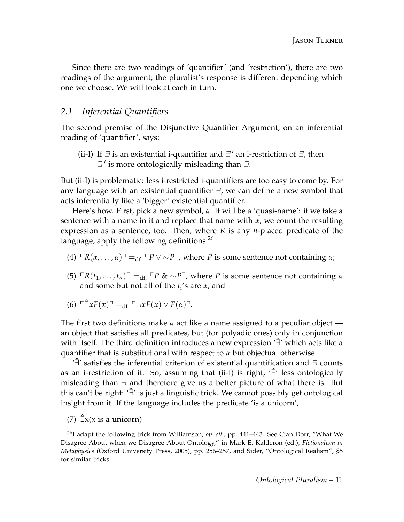Since there are two readings of 'quantifier' (and 'restriction'), there are two readings of the argument; the pluralist's response is different depending which one we choose. We will look at each in turn.

### *2.1 Inferential Quantifiers*

The second premise of the Disjunctive Quantifier Argument, on an inferential reading of 'quantifier', says:

(ii-I) If  $\exists$  is an existential i-quantifier and  $\exists'$  an i-restriction of  $\exists$ , then  $\exists$ ' is more ontologically misleading than  $\exists$ .

But (ii-I) is problematic: less i-restricted i-quantifiers are too easy to come by. For any language with an existential quantifier  $\exists$ , we can define a new symbol that acts inferentially like a 'bigger' existential quantifier.

Here's how. First, pick a new symbol, *α*. It will be a 'quasi-name': if we take a sentence with a name in it and replace that name with *α*, we count the resulting expression as a sentence, too. Then, where *R* is any *n*-placed predicate of the language, apply the following definitions: $^{26}$  $^{26}$  $^{26}$ 

- (4)  $\Gamma R(\alpha, \ldots, \alpha) =_{\text{df.}} \Gamma P \vee \sim P$ <sup> $\top$ </sup>, where *P* is some sentence not containing  $\alpha$ ;
- $(5)$   $\Gamma R(t_1, \ldots, t_n)$ <sup> $\top$ </sup> =<sub>df.</sub>  $\Gamma P$  & ∼*P*<sup> $\top$ </sup>, where *P* is some sentence not containing *α* and some but not all of the *t<sup>i</sup>* 's are *α*, and
- $(6)$   $\Box xF(x) = d_f \Box xF(x) \lor F(a)$ .

The first two definitions make *α* act like a name assigned to a peculiar object an object that satisfies all predicates, but (for polyadic ones) only in conjunction with itself. The third definition introduces a new expression '∃<sup>'</sup> which acts like a quantifier that is substitutional with respect to *α* but objectual otherwise.

' $\exists$ ' satisfies the inferential criterion of existential quantification and  $\exists$  counts as an i-restriction of it. So, assuming that (ii-I) is right, '∃ˆ ' less ontologically misleading than  $\exists$  and therefore give us a better picture of what there is. But this can't be right: '∃ˆ ' is just a linguistic trick. We cannot possibly get ontological insight from it. If the language includes the predicate 'is a unicorn',

<span id="page-10-1"></span>(7)  $\exists x(x \text{ is a union})$ 

<span id="page-10-0"></span><sup>26</sup>I adapt the following trick from Williamson, *op. cit.*, pp. 441–443. See Cian Dorr, "What We Disagree About when we Disagree About Ontology," in Mark E. Kalderon (ed.), *Fictionalism in Metaphysics* (Oxford University Press, 2005), pp. 256–257, and Sider, "Ontological Realism", §5 for similar tricks.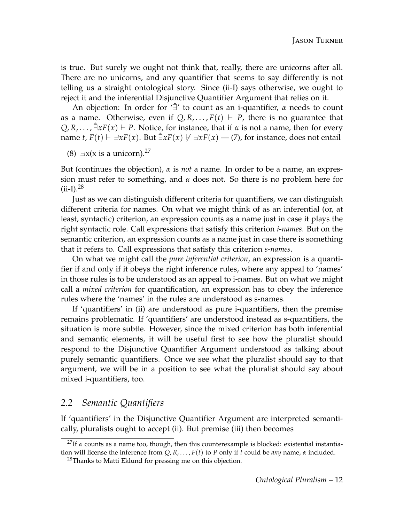is true. But surely we ought not think that, really, there are unicorns after all. There are no unicorns, and any quantifier that seems to say differently is not telling us a straight ontological story. Since (ii-I) says otherwise, we ought to reject it and the inferential Disjunctive Quantifier Argument that relies on it.

An objection: In order for '∃ˆ ' to count as an i-quantifier, *α* needs to count as a name. Otherwise, even if  $Q, R, \ldots, F(t) \vdash P$ , there is no guarantee that  $Q, R, \ldots, \exists x F(x) \vdash P$ . Notice, for instance, that if  $\alpha$  is not a name, then for every name *t*, *F*(*t*)  $\vdash \exists x F(x)$ . But  $\exists x F(x) \forall \exists x F(x)$  — [\(7\)](#page-10-1), for instance, does not entail

(8)  $\exists x(x \text{ is a union})$ .<sup>[27](#page-11-1)</sup>

But (continues the objection), *α* is *not* a name. In order to be a name, an expression must refer to something, and *α* does not. So there is no problem here for  $(ii-I).^{28}$  $(ii-I).^{28}$  $(ii-I).^{28}$ 

Just as we can distinguish different criteria for quantifiers, we can distinguish different criteria for names. On what we might think of as an inferential (or, at least, syntactic) criterion, an expression counts as a name just in case it plays the right syntactic role. Call expressions that satisfy this criterion *i-names*. But on the semantic criterion, an expression counts as a name just in case there is something that it refers to. Call expressions that satisfy this criterion *s-names*.

On what we might call the *pure inferential criterion*, an expression is a quantifier if and only if it obeys the right inference rules, where any appeal to 'names' in those rules is to be understood as an appeal to i-names. But on what we might call a *mixed criterion* for quantification, an expression has to obey the inference rules where the 'names' in the rules are understood as s-names.

If 'quantifiers' in (ii) are understood as pure i-quantifiers, then the premise remains problematic. If 'quantifiers' are understood instead as s-quantifiers, the situation is more subtle. However, since the mixed criterion has both inferential and semantic elements, it will be useful first to see how the pluralist should respond to the Disjunctive Quantifier Argument understood as talking about purely semantic quantifiers. Once we see what the pluralist should say to that argument, we will be in a position to see what the pluralist should say about mixed i-quantifiers, too.

### <span id="page-11-0"></span>*2.2 Semantic Quantifiers*

If 'quantifiers' in the Disjunctive Quantifier Argument are interpreted semantically, pluralists ought to accept (ii). But premise (iii) then becomes

<span id="page-11-1"></span><sup>&</sup>lt;sup>27</sup>If *α* counts as a name too, though, then this counterexample is blocked: existential instantiation will license the inference from *Q*, *R*, . . . , *F*(*t*) to *P* only if *t* could be *any* name, *α* included.

<span id="page-11-2"></span><sup>&</sup>lt;sup>28</sup>Thanks to Matti Eklund for pressing me on this objection.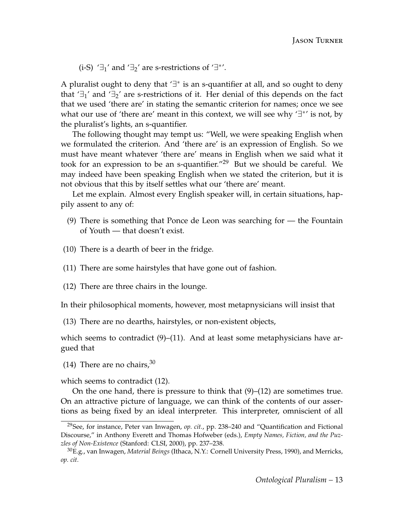(i-S)  $'\exists_1'$  and  $'\exists_2'$  are s-restrictions of  $'\exists^{*'}$ .

A pluralist ought to deny that '∃<sup>\*</sup> is an s-quantifier at all, and so ought to deny that  $\exists$ <sup>1</sup> and  $\exists$ <sub>2</sub>' are s-restrictions of it. Her denial of this depends on the fact that we used 'there are' in stating the semantic criterion for names; once we see what our use of 'there are' meant in this context, we will see why '∃<sup>\*'</sup> is not, by the pluralist's lights, an s-quantifier.

The following thought may tempt us: "Well, we were speaking English when we formulated the criterion. And 'there are' is an expression of English. So we must have meant whatever 'there are' means in English when we said what it took for an expression to be an s-quantifier. $129$  $129$  But we should be careful. We may indeed have been speaking English when we stated the criterion, but it is not obvious that this by itself settles what our 'there are' meant.

Let me explain. Almost every English speaker will, in certain situations, happily assent to any of:

- <span id="page-12-1"></span>(9) There is something that Ponce de Leon was searching for — the Fountain of Youth — that doesn't exist.
- (10) There is a dearth of beer in the fridge.
- <span id="page-12-2"></span>(11) There are some hairstyles that have gone out of fashion.
- <span id="page-12-4"></span>(12) There are three chairs in the lounge.

In their philosophical moments, however, most metapnysicians will insist that

<span id="page-12-5"></span>(13) There are no dearths, hairstyles, or non-existent objects,

which seems to contradict  $(9)$ – $(11)$ . And at least some metaphysicians have argued that

<span id="page-12-6"></span>(14) There are no chairs,  $30<sup>30</sup>$  $30<sup>30</sup>$ 

which seems to contradict [\(12\)](#page-12-4).

On the one hand, there is pressure to think that  $(9)$ – $(12)$  are sometimes true. On an attractive picture of language, we can think of the contents of our assertions as being fixed by an ideal interpreter. This interpreter, omniscient of all

<span id="page-12-0"></span><sup>29</sup>See, for instance, Peter van Inwagen, *op. cit.*, pp. 238–240 and "Quantification and Fictional Discourse," in Anthony Everett and Thomas Hofweber (eds.), *Empty Names, Fiction, and the Puzzles of Non-Existence* (Stanford: CLSI, 2000), pp. 237–238.

<span id="page-12-3"></span><sup>30</sup>E.g., van Inwagen, *Material Beings* (Ithaca, N.Y.: Cornell University Press, 1990), and Merricks, *op. cit.*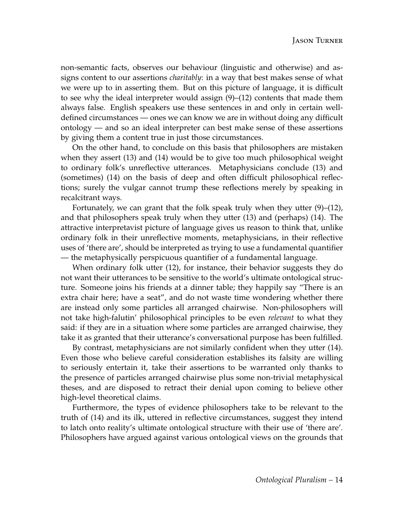non-semantic facts, observes our behaviour (linguistic and otherwise) and assigns content to our assertions *charitably*: in a way that best makes sense of what we were up to in asserting them. But on this picture of language, it is difficult to see why the ideal interpreter would assign [\(9\)](#page-12-1)–[\(12\)](#page-12-4) contents that made them always false. English speakers use these sentences in and only in certain welldefined circumstances — ones we can know we are in without doing any difficult ontology — and so an ideal interpreter can best make sense of these assertions by giving them a content true in just those circumstances.

On the other hand, to conclude on this basis that philosophers are mistaken when they assert [\(13\)](#page-12-5) and [\(14\)](#page-12-6) would be to give too much philosophical weight to ordinary folk's unreflective utterances. Metaphysicians conclude [\(13\)](#page-12-5) and (sometimes) [\(14\)](#page-12-6) on the basis of deep and often difficult philosophical reflections; surely the vulgar cannot trump these reflections merely by speaking in recalcitrant ways.

Fortunately, we can grant that the folk speak truly when they utter  $(9)$ – $(12)$ , and that philosophers speak truly when they utter [\(13\)](#page-12-5) and (perhaps) [\(14\)](#page-12-6). The attractive interpretavist picture of language gives us reason to think that, unlike ordinary folk in their unreflective moments, metaphysicians, in their reflective uses of 'there are', should be interpreted as trying to use a fundamental quantifier — the metaphysically perspicuous quantifier of a fundamental language.

When ordinary folk utter [\(12\)](#page-12-4), for instance, their behavior suggests they do not want their utterances to be sensitive to the world's ultimate ontological structure. Someone joins his friends at a dinner table; they happily say "There is an extra chair here; have a seat", and do not waste time wondering whether there are instead only some particles all arranged chairwise. Non-philosophers will not take high-falutin' philosophical principles to be even *relevant* to what they said: if they are in a situation where some particles are arranged chairwise, they take it as granted that their utterance's conversational purpose has been fulfilled.

By contrast, metaphysicians are not similarly confident when they utter [\(14\)](#page-12-6). Even those who believe careful consideration establishes its falsity are willing to seriously entertain it, take their assertions to be warranted only thanks to the presence of particles arranged chairwise plus some non-trivial metaphysical theses, and are disposed to retract their denial upon coming to believe other high-level theoretical claims.

Furthermore, the types of evidence philosophers take to be relevant to the truth of [\(14\)](#page-12-6) and its ilk, uttered in reflective circumstances, suggest they intend to latch onto reality's ultimate ontological structure with their use of 'there are'. Philosophers have argued against various ontological views on the grounds that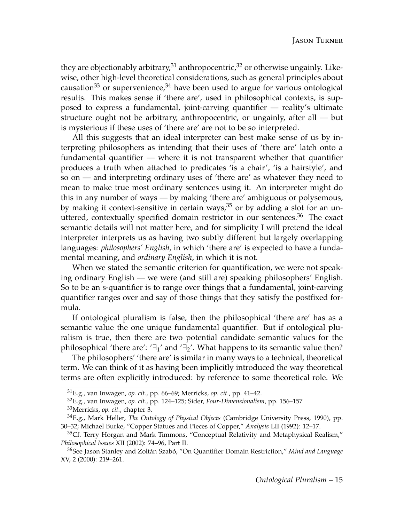they are objectionably arbitrary, $31$  anthropocentric, $32$  or otherwise ungainly. Likewise, other high-level theoretical considerations, such as general principles about causation<sup>[33](#page-14-2)</sup> or supervenience,<sup>[34](#page-14-3)</sup> have been used to argue for various ontological results. This makes sense if 'there are', used in philosophical contexts, is supposed to express a fundamental, joint-carving quantifier — reality's ultimate structure ought not be arbitrary, anthropocentric, or ungainly, after all — but is mysterious if these uses of 'there are' are not to be so interpreted.

All this suggests that an ideal interpreter can best make sense of us by interpreting philosophers as intending that their uses of 'there are' latch onto a fundamental quantifier — where it is not transparent whether that quantifier produces a truth when attached to predicates 'is a chair', 'is a hairstyle', and so on — and interpreting ordinary uses of 'there are' as whatever they need to mean to make true most ordinary sentences using it. An interpreter might do this in any number of ways — by making 'there are' ambiguous or polysemous, by making it context-sensitive in certain ways,  $35$  or by adding a slot for an un-uttered, contextually specified domain restrictor in our sentences.<sup>[36](#page-14-5)</sup> The exact semantic details will not matter here, and for simplicity I will pretend the ideal interpreter interprets us as having two subtly different but largely overlapping languages: *philosophers' English*, in which 'there are' is expected to have a fundamental meaning, and *ordinary English*, in which it is not.

When we stated the semantic criterion for quantification, we were not speaking ordinary English — we were (and still are) speaking philosophers' English. So to be an s-quantifier is to range over things that a fundamental, joint-carving quantifier ranges over and say of those things that they satisfy the postfixed formula.

If ontological pluralism is false, then the philosophical 'there are' has as a semantic value the one unique fundamental quantifier. But if ontological pluralism is true, then there are two potential candidate semantic values for the philosophical 'there are': ' $\exists_1$ ' and ' $\exists_2$ '. What happens to its semantic value then?

The philosophers' 'there are' is similar in many ways to a technical, theoretical term. We can think of it as having been implicitly introduced the way theoretical terms are often explicitly introduced: by reference to some theoretical role. We

<span id="page-14-0"></span><sup>31</sup>E.g., van Inwagen, *op. cit.*, pp. 66–69; Merricks, *op. cit.*, pp. 41–42.

<span id="page-14-2"></span><span id="page-14-1"></span><sup>32</sup>E.g., van Inwagen, *op. cit.*, pp. 124–125; Sider, *Four-Dimensionalism*, pp. 156–157 <sup>33</sup>Merricks, *op. cit.*, chapter 3.

<span id="page-14-3"></span><sup>34</sup>E.g., Mark Heller, *The Ontology of Physical Objects* (Cambridge University Press, 1990), pp. 30–32; Michael Burke, "Copper Statues and Pieces of Copper," *Analysis* LII (1992): 12–17.

<span id="page-14-4"></span><sup>&</sup>lt;sup>35</sup>Cf. Terry Horgan and Mark Timmons, "Conceptual Relativity and Metaphysical Realism," *Philosophical Issues* XII (2002): 74–96, Part II.

<span id="page-14-5"></span><sup>36</sup>See Jason Stanley and Zoltán Szabó, "On Quantifier Domain Restriction," *Mind and Language* XV, 2 (2000): 219–261.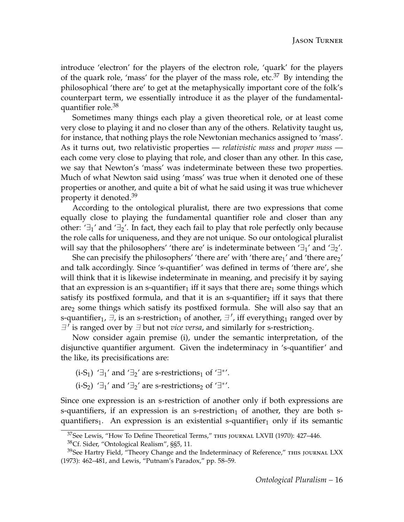introduce 'electron' for the players of the electron role, 'quark' for the players of the quark role, 'mass' for the player of the mass role, etc.<sup>[37](#page-15-0)</sup> By intending the philosophical 'there are' to get at the metaphysically important core of the folk's counterpart term, we essentially introduce it as the player of the fundamentalquantifier role.[38](#page-15-1)

Sometimes many things each play a given theoretical role, or at least come very close to playing it and no closer than any of the others. Relativity taught us, for instance, that nothing plays the role Newtonian mechanics assigned to 'mass'. As it turns out, two relativistic properties — *relativistic mass* and *proper mass* each come very close to playing that role, and closer than any other. In this case, we say that Newton's 'mass' was indeterminate between these two properties. Much of what Newton said using 'mass' was true when it denoted one of these properties or another, and quite a bit of what he said using it was true whichever property it denoted.<sup>[39](#page-15-2)</sup>

According to the ontological pluralist, there are two expressions that come equally close to playing the fundamental quantifier role and closer than any other:  $\exists_1'$  and  $\exists_2'$ . In fact, they each fail to play that role perfectly only because the role calls for uniqueness, and they are not unique. So our ontological pluralist will say that the philosophers' 'there are' is indeterminate between  $\exists_1$ ' and  $\exists_2$ '.

She can precisify the philosophers' 'there are' with 'there  $\text{are}_1$ ' and 'there  $\text{are}_2$ ' and talk accordingly. Since 's-quantifier' was defined in terms of 'there are', she will think that it is likewise indeterminate in meaning, and precisify it by saying that an expression is an s-quantifier<sub>1</sub> iff it says that there are<sub>1</sub> some things which satisfy its postfixed formula, and that it is an s-quantifier<sub>2</sub> iff it says that there are<sup>2</sup> some things which satisfy its postfixed formula. She will also say that an s-quantifier<sub>1</sub>,  $\exists$ , is an s-restriction<sub>1</sub> of another,  $\exists$ ', iff everything<sub>1</sub> ranged over by  $\exists$ ' is ranged over by  $\exists$  but not *vice versa*, and similarly for s-restriction<sub>2</sub>.

Now consider again premise (i), under the semantic interpretation, of the disjunctive quantifier argument. Given the indeterminacy in 's-quantifier' and the like, its precisifications are:

(i-S<sub>1</sub>) '∃<sub>1</sub>' and '∃<sub>2</sub>' are s-restrictions<sub>1</sub> of '∃<sup>\*'</sup>.

(i-S<sub>2</sub>) ' $\exists_1$ ' and ' $\exists_2$ ' are s-restrictions<sub>2</sub> of ' $\exists$ <sup>\*'</sup>.

Since one expression is an s-restriction of another only if both expressions are s-quantifiers, if an expression is an s-restriction<sub>1</sub> of another, they are both squantifiers<sub>1</sub>. An expression is an existential s-quantifier<sub>1</sub> only if its semantic

<span id="page-15-2"></span><span id="page-15-1"></span><sup>38</sup>Cf. Sider, "Ontological Realism", §§5, 11.

<span id="page-15-0"></span><sup>&</sup>lt;sup>37</sup>See Lewis, "How To Define Theoretical Terms," THIS JOURNAL LXVII (1970): 427-446.

 $39$ See Hartry Field, "Theory Change and the Indeterminacy of Reference," THIS JOURNAL LXX (1973): 462–481, and Lewis, "Putnam's Paradox," pp. 58–59.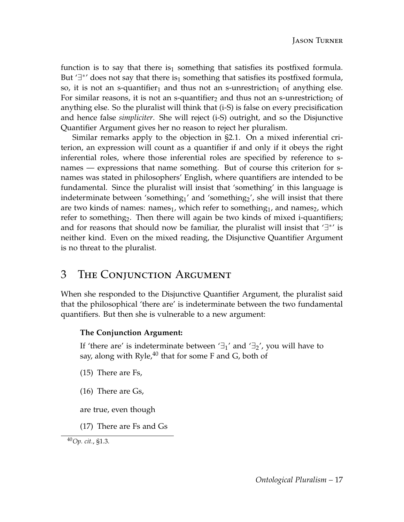function is to say that there is<sub>1</sub> something that satisfies its postfixed formula. But ' $\exists^*$ ' does not say that there is<sub>1</sub> something that satisfies its postfixed formula, so, it is not an s-quantifier<sub>1</sub> and thus not an s-unrestriction<sub>1</sub> of anything else. For similar reasons, it is not an s-quantifier<sub>2</sub> and thus not an s-unrestriction<sub>2</sub> of anything else. So the pluralist will think that (i-S) is false on every precisification and hence false *simpliciter*. She will reject (i-S) outright, and so the Disjunctive Quantifier Argument gives her no reason to reject her pluralism.

Similar remarks apply to the objection in [§2.1.](#page-10-1) On a mixed inferential criterion, an expression will count as a quantifier if and only if it obeys the right inferential roles, where those inferential roles are specified by reference to snames — expressions that name something. But of course this criterion for snames was stated in philosophers' English, where quantifiers are intended to be fundamental. Since the pluralist will insist that 'something' in this language is indeterminate between 'something<sub>1</sub>' and 'something<sub>2</sub>', she will insist that there are two kinds of names: names<sub>1</sub>, which refer to something<sub>1</sub>, and names<sub>2</sub>, which refer to something<sub>2</sub>. Then there will again be two kinds of mixed i-quantifiers; and for reasons that should now be familiar, the pluralist will insist that  $' \exists$ <sup>\*'</sup> is neither kind. Even on the mixed reading, the Disjunctive Quantifier Argument is no threat to the pluralist.

# 3 The Conjunction Argument

When she responded to the Disjunctive Quantifier Argument, the pluralist said that the philosophical 'there are' is indeterminate between the two fundamental quantifiers. But then she is vulnerable to a new argument:

#### **The Conjunction Argument:**

If 'there are' is indeterminate between ' $\exists_1$ ' and ' $\exists_2$ ', you will have to say, along with  $Ryle<sub>1</sub><sup>40</sup>$  $Ryle<sub>1</sub><sup>40</sup>$  $Ryle<sub>1</sub><sup>40</sup>$  that for some F and G, both of

- <span id="page-16-1"></span>(15) There are Fs,
- <span id="page-16-2"></span>(16) There are Gs,

are true, even though

(17) There are Fs and Gs

<span id="page-16-3"></span><span id="page-16-0"></span><sup>40</sup>*Op. cit.*, §1.3.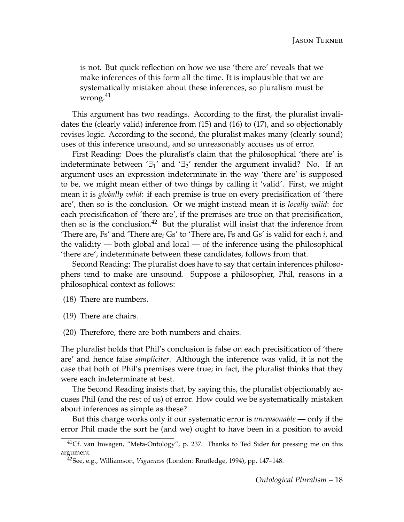is not. But quick reflection on how we use 'there are' reveals that we make inferences of this form all the time. It is implausible that we are systematically mistaken about these inferences, so pluralism must be wrong.<sup>[41](#page-17-0)</sup>

This argument has two readings. According to the first, the pluralist invalidates the (clearly valid) inference from [\(15\)](#page-16-1) and [\(16\)](#page-16-2) to [\(17\)](#page-16-3), and so objectionably revises logic. According to the second, the pluralist makes many (clearly sound) uses of this inference unsound, and so unreasonably accuses us of error.

First Reading: Does the pluralist's claim that the philosophical 'there are' is indeterminate between  $\exists_1'$  and  $\exists_2'$  render the argument invalid? No. If an argument uses an expression indeterminate in the way 'there are' is supposed to be, we might mean either of two things by calling it 'valid'. First, we might mean it is *globally valid*: if each premise is true on every precisification of 'there are', then so is the conclusion. Or we might instead mean it is *locally valid*: for each precisification of 'there are', if the premises are true on that precisification, then so is the conclusion. $42$  But the pluralist will insist that the inference from 'There are*<sup>i</sup>* Fs' and 'There are*<sup>i</sup>* Gs' to 'There are*<sup>i</sup>* Fs and Gs' is valid for each *i*, and the validity — both global and local — of the inference using the philosophical 'there are', indeterminate between these candidates, follows from that.

Second Reading: The pluralist does have to say that certain inferences philosophers tend to make are unsound. Suppose a philosopher, Phil, reasons in a philosophical context as follows:

<span id="page-17-2"></span>(18) There are numbers.

<span id="page-17-3"></span>(19) There are chairs.

<span id="page-17-4"></span>(20) Therefore, there are both numbers and chairs.

The pluralist holds that Phil's conclusion is false on each precisification of 'there are' and hence false *simpliciter*. Although the inference was valid, it is not the case that both of Phil's premises were true; in fact, the pluralist thinks that they were each indeterminate at best.

The Second Reading insists that, by saying this, the pluralist objectionably accuses Phil (and the rest of us) of error. How could we be systematically mistaken about inferences as simple as these?

But this charge works only if our systematic error is *unreasonable* — only if the error Phil made the sort he (and we) ought to have been in a position to avoid

<span id="page-17-0"></span><sup>&</sup>lt;sup>41</sup>Cf. van Inwagen, "Meta-Ontology", p. 237. Thanks to Ted Sider for pressing me on this argument.

<span id="page-17-1"></span><sup>42</sup>See, e.g., Williamson, *Vagueness* (London: Routledge, 1994), pp. 147–148.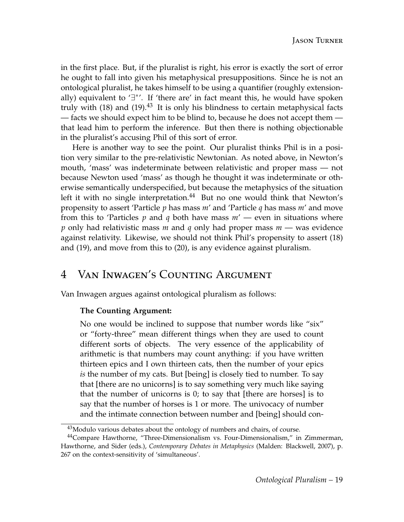in the first place. But, if the pluralist is right, his error is exactly the sort of error he ought to fall into given his metaphysical presuppositions. Since he is not an ontological pluralist, he takes himself to be using a quantifier (roughly extensionally) equivalent to '∃<sup>\*</sup>'. If 'there are' in fact meant this, he would have spoken truly with  $(18)$  and  $(19)$ .<sup>[43](#page-18-0)</sup> It is only his blindness to certain metaphysical facts — facts we should expect him to be blind to, because he does not accept them that lead him to perform the inference. But then there is nothing objectionable in the pluralist's accusing Phil of this sort of error.

Here is another way to see the point. Our pluralist thinks Phil is in a position very similar to the pre-relativistic Newtonian. As noted above, in Newton's mouth, 'mass' was indeterminate between relativistic and proper mass — not because Newton used 'mass' as though he thought it was indeterminate or otherwise semantically underspecified, but because the metaphysics of the situation left it with no single interpretation.<sup>[44](#page-18-1)</sup> But no one would think that Newton's propensity to assert 'Particle *p* has mass *m*' and 'Particle *q* has mass *m*' and move from this to 'Particles *p* and *q* both have mass *m*' — even in situations where *p* only had relativistic mass *m* and *q* only had proper mass *m* — was evidence against relativity. Likewise, we should not think Phil's propensity to assert [\(18\)](#page-17-2) and [\(19\)](#page-17-3), and move from this to [\(20\)](#page-17-4), is any evidence against pluralism.

# 4 Van Inwagen's Counting Argument

Van Inwagen argues against ontological pluralism as follows:

#### **The Counting Argument:**

No one would be inclined to suppose that number words like "six" or "forty-three" mean different things when they are used to count different sorts of objects. The very essence of the applicability of arithmetic is that numbers may count anything: if you have written thirteen epics and I own thirteen cats, then the number of your epics *is* the number of my cats. But [being] is closely tied to number. To say that [there are no unicorns] is to say something very much like saying that the number of unicorns is 0; to say that [there are horses] is to say that the number of horses is 1 or more. The univocacy of number and the intimate connection between number and [being] should con-

<span id="page-18-1"></span><span id="page-18-0"></span> $43$ Modulo various debates about the ontology of numbers and chairs, of course.

<sup>&</sup>lt;sup>44</sup>Compare Hawthorne, "Three-Dimensionalism vs. Four-Dimensionalism," in Zimmerman, Hawthorne, and Sider (eds.), *Contemporary Debates in Metaphysics* (Malden: Blackwell, 2007), p. 267 on the context-sensitivity of 'simultaneous'.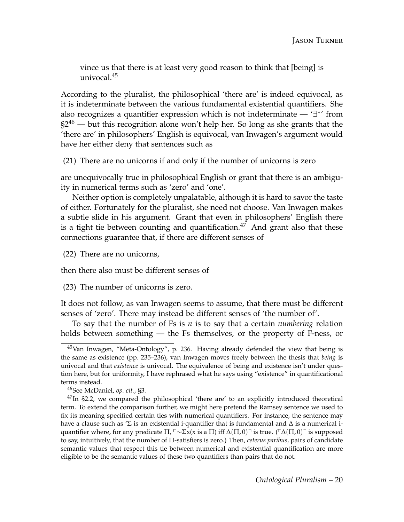vince us that there is at least very good reason to think that [being] is univocal. $45$ 

According to the pluralist, the philosophical 'there are' is indeed equivocal, as it is indeterminate between the various fundamental existential quantifiers. She also recognizes a quantifier expression which is not indeterminate — ' $\exists^*$ ' from  $\S2^{46}$  $\S2^{46}$  $\S2^{46}$  — but this recognition alone won't help her. So long as she grants that the 'there are' in philosophers' English is equivocal, van Inwagen's argument would have her either deny that sentences such as

(21) There are no unicorns if and only if the number of unicorns is zero

are unequivocally true in philosophical English or grant that there is an ambiguity in numerical terms such as 'zero' and 'one'.

Neither option is completely unpalatable, although it is hard to savor the taste of either. Fortunately for the pluralist, she need not choose. Van Inwagen makes a subtle slide in his argument. Grant that even in philosophers' English there is a tight tie between counting and quantification.<sup>[47](#page-19-2)</sup> And grant also that these connections guarantee that, if there are different senses of

(22) There are no unicorns,

then there also must be different senses of

(23) The number of unicorns is zero.

It does not follow, as van Inwagen seems to assume, that there must be different senses of 'zero'. There may instead be different senses of 'the number of'.

To say that the number of Fs is *n* is to say that a certain *numbering* relation holds between something — the Fs themselves, or the property of F-ness, or

<span id="page-19-0"></span><sup>45</sup>Van Inwagen, "Meta-Ontology", p. 236. Having already defended the view that being is the same as existence (pp. 235–236), van Inwagen moves freely between the thesis that *being* is univocal and that *existence* is univocal. The equivalence of being and existence isn't under question here, but for uniformity, I have rephrased what he says using "existence" in quantificational terms instead.

<span id="page-19-2"></span><span id="page-19-1"></span><sup>46</sup>See McDaniel, *op. cit.*, §3.

 $47$ In [§2.2,](#page-12-6) we compared the philosophical 'there are' to an explicitly introduced theoretical term. To extend the comparison further, we might here pretend the Ramsey sentence we used to fix its meaning specified certain ties with numerical quantifiers. For instance, the sentence may have a clause such as  $\sum$  is an existential i-quantifier that is fundamental and  $\Delta$  is a numerical iquantifier where, for any predicate  $\Pi$ ,  $\ulcorner \sim \Sigma x(x \text{ is a } \Pi)$  iff  $\Delta(\Pi, 0)$ <sup> $\urcorner$ </sup> is true. ( $\ulcorner \Delta(\Pi, 0) \urcorner$  is supposed to say, intuitively, that the number of Π-satisfiers is zero.) Then, *ceterus paribus*, pairs of candidate semantic values that respect this tie between numerical and existential quantification are more eligible to be the semantic values of these two quantifiers than pairs that do not.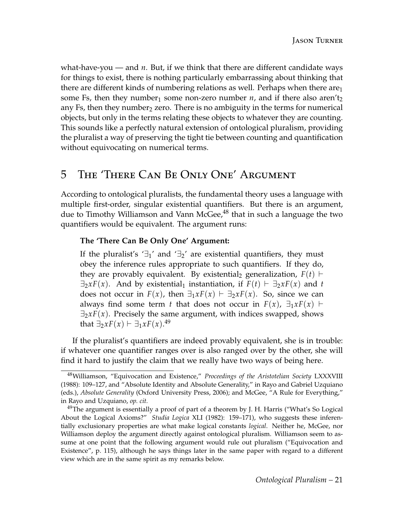what-have-you — and *n*. But, if we think that there are different candidate ways for things to exist, there is nothing particularly embarrassing about thinking that there are different kinds of numbering relations as well. Perhaps when there are $_1$ some Fs, then they number<sub>1</sub> some non-zero number  $n$ , and if there also aren't<sub>2</sub> any Fs, then they number  $2$  zero. There is no ambiguity in the terms for numerical objects, but only in the terms relating these objects to whatever they are counting. This sounds like a perfectly natural extension of ontological pluralism, providing the pluralist a way of preserving the tight tie between counting and quantification without equivocating on numerical terms.

# <span id="page-20-0"></span>5 The 'There Can Be Only One' Argument

According to ontological pluralists, the fundamental theory uses a language with multiple first-order, singular existential quantifiers. But there is an argument, due to Timothy Williamson and Vann McGee, $48$  that in such a language the two quantifiers would be equivalent. The argument runs:

#### **The 'There Can Be Only One' Argument:**

If the pluralist's ' $\exists$ <sub>1</sub>' and ' $\exists$ <sub>2</sub>' are existential quantifiers, they must obey the inference rules appropriate to such quantifiers. If they do, they are provably equivalent. By existential<sub>2</sub> generalization,  $F(t)$   $\vdash$  $\exists_2 x F(x)$ . And by existential<sub>1</sub> instantiation, if  $F(t) \vdash \exists_2 x F(x)$  and *t* does not occur in  $F(x)$ , then  $\exists_1 x F(x) \vdash \exists_2 x F(x)$ . So, since we can always find some term *t* that does not occur in  $F(x)$ ,  $\exists_1 x F(x) \vdash$  $\exists_2 x F(x)$ . Precisely the same argument, with indices swapped, shows that  $\exists_2 x F(x) \vdash \exists_1 x F(x).$ <sup>[49](#page-20-2)</sup>

If the pluralist's quantifiers are indeed provably equivalent, she is in trouble: if whatever one quantifier ranges over is also ranged over by the other, she will find it hard to justify the claim that we really have two ways of being here.

<span id="page-20-1"></span><sup>48</sup>Williamson, "Equivocation and Existence," *Proceedings of the Aristotelian Society* LXXXVIII (1988): 109–127, and "Absolute Identity and Absolute Generality," in Rayo and Gabriel Uzquiano (eds.), *Absolute Generality* (Oxford University Press, 2006); and McGee, "A Rule for Everything," in Rayo and Uzquiano, *op. cit.*

<span id="page-20-2"></span> $49$ The argument is essentially a proof of part of a theorem by J. H. Harris ("What's So Logical About the Logical Axioms?" *Studia Logica* XLI (1982): 159–171), who suggests these inferentially exclusionary properties are what make logical constants *logical*. Neither he, McGee, nor Williamson deploy the argument directly against ontological pluralism. Williamson seem to assume at one point that the following argument would rule out pluralism ("Equivocation and Existence", p. 115), although he says things later in the same paper with regard to a different view which are in the same spirit as my remarks below.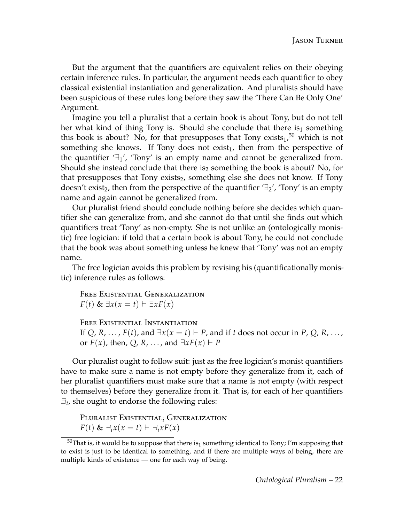But the argument that the quantifiers are equivalent relies on their obeying certain inference rules. In particular, the argument needs each quantifier to obey classical existential instantiation and generalization. And pluralists should have been suspicious of these rules long before they saw the 'There Can Be Only One' Argument.

Imagine you tell a pluralist that a certain book is about Tony, but do not tell her what kind of thing Tony is. Should she conclude that there is<sub>1</sub> something this book is about? No, for that presupposes that Tony  $exists_1$ ,  $50$  which is not something she knows. If Tony does not exist<sub>1</sub>, then from the perspective of the quantifier  $\exists$ <sup>1</sup>', 'Tony' is an empty name and cannot be generalized from. Should she instead conclude that there is<sub>2</sub> something the book is about? No, for that presupposes that Tony exists<sub>2</sub>, something else she does not know. If Tony doesn't exist<sub>2</sub>, then from the perspective of the quantifier  $\exists$ <sup>2</sup>', 'Tony' is an empty name and again cannot be generalized from.

Our pluralist friend should conclude nothing before she decides which quantifier she can generalize from, and she cannot do that until she finds out which quantifiers treat 'Tony' as non-empty. She is not unlike an (ontologically monistic) free logician: if told that a certain book is about Tony, he could not conclude that the book was about something unless he knew that 'Tony' was not an empty name.

The free logician avoids this problem by revising his (quantificationally monistic) inference rules as follows:

Free Existential Generalization *F*(*t*) & ∃*x*(*x* = *t*)  $\vdash$  ∃*xF*(*x*)

FREE EXISTENTIAL INSTANTIATION If  $Q$ ,  $R$ , ...,  $F(t)$ , and  $\exists x(x = t) \vdash P$ , and if *t* does not occur in  $P$ ,  $Q$ ,  $R$ , ..., or  $F(x)$ , then, Q, R, ..., and  $\exists x F(x) \vdash P$ 

Our pluralist ought to follow suit: just as the free logician's monist quantifiers have to make sure a name is not empty before they generalize from it, each of her pluralist quantifiers must make sure that a name is not empty (with respect to themselves) before they generalize from it. That is, for each of her quantifiers  $\exists_i$ , she ought to endorse the following rules:

Pluralist Existential*<sup>i</sup>* Generalization  $F(t)$  &  $\exists_i x(x = t)$   $\vdash \exists_i x F(x)$ 

<span id="page-21-0"></span> $50$ That is, it would be to suppose that there is<sub>1</sub> something identical to Tony; I'm supposing that to exist is just to be identical to something, and if there are multiple ways of being, there are multiple kinds of existence — one for each way of being.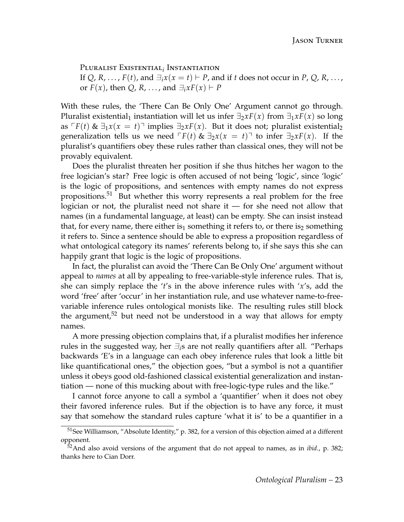Pluralist Existential*<sup>i</sup>* Instantiation If *Q*, *R*, ..., *F*(*t*), and  $\exists_i x(x = t) \vdash P$ , and if *t* does not occur in *P*, *Q*, *R*, ..., or  $F(x)$ , then Q, R, ..., and  $\exists_i x F(x) \vdash P$ 

With these rules, the 'There Can Be Only One' Argument cannot go through. Pluralist existential<sub>1</sub> instantiation will let us infer  $\exists_2 x F(x)$  from  $\exists_1 x F(x)$  so long as  $\Gamma F(t)$  &  $\exists_1 x(x = t)$ <sup> $\top$ </sup> implies  $\exists_2 x F(x)$ . But it does not; pluralist existential<sub>2</sub> generalization tells us we need  $\Gamma F(t)$  &  $\exists_2 x(x = t)$  to infer  $\exists_2 x F(x)$ . If the pluralist's quantifiers obey these rules rather than classical ones, they will not be provably equivalent.

Does the pluralist threaten her position if she thus hitches her wagon to the free logician's star? Free logic is often accused of not being 'logic', since 'logic' is the logic of propositions, and sentences with empty names do not express propositions.[51](#page-22-0) But whether this worry represents a real problem for the free logician or not, the pluralist need not share it — for she need not allow that names (in a fundamental language, at least) can be empty. She can insist instead that, for every name, there either is<sub>1</sub> something it refers to, or there is<sub>2</sub> something it refers to. Since a sentence should be able to express a proposition regardless of what ontological category its names' referents belong to, if she says this she can happily grant that logic is the logic of propositions.

In fact, the pluralist can avoid the 'There Can Be Only One' argument without appeal to *names* at all by appealing to free-variable-style inference rules. That is, she can simply replace the '*t*'s in the above inference rules with '*x*'s, add the word 'free' after 'occur' in her instantiation rule, and use whatever name-to-freevariable inference rules ontological monists like. The resulting rules still block the argument,<sup>[52](#page-22-1)</sup> but need not be understood in a way that allows for empty names.

A more pressing objection complains that, if a pluralist modifies her inference rules in the suggested way, her  $\exists_i$ s are not really quantifiers after all. "Perhaps" backwards 'E's in a language can each obey inference rules that look a little bit like quantificational ones," the objection goes, "but a symbol is not a quantifier unless it obeys good old-fashioned classical existential generalization and instantiation — none of this mucking about with free-logic-type rules and the like."

I cannot force anyone to call a symbol a 'quantifier' when it does not obey their favored inference rules. But if the objection is to have any force, it must say that somehow the standard rules capture 'what it is' to be a quantifier in a

<span id="page-22-0"></span><sup>51</sup>See Williamson, "Absolute Identity," p. 382, for a version of this objection aimed at a different opponent.

<span id="page-22-1"></span><sup>52</sup>And also avoid versions of the argument that do not appeal to names, as in *ibid.*, p. 382; thanks here to Cian Dorr.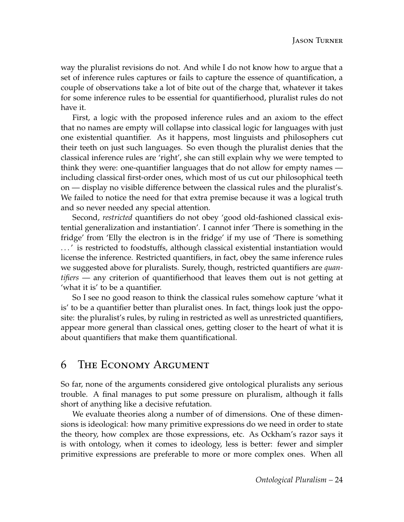way the pluralist revisions do not. And while I do not know how to argue that a set of inference rules captures or fails to capture the essence of quantification, a couple of observations take a lot of bite out of the charge that, whatever it takes for some inference rules to be essential for quantifierhood, pluralist rules do not have it.

First, a logic with the proposed inference rules and an axiom to the effect that no names are empty will collapse into classical logic for languages with just one existential quantifier. As it happens, most linguists and philosophers cut their teeth on just such languages. So even though the pluralist denies that the classical inference rules are 'right', she can still explain why we were tempted to think they were: one-quantifier languages that do not allow for empty names including classical first-order ones, which most of us cut our philosophical teeth on — display no visible difference between the classical rules and the pluralist's. We failed to notice the need for that extra premise because it was a logical truth and so never needed any special attention.

Second, *restricted* quantifiers do not obey 'good old-fashioned classical existential generalization and instantiation'. I cannot infer 'There is something in the fridge' from 'Elly the electron is in the fridge' if my use of 'There is something . . . ' is restricted to foodstuffs, although classical existential instantiation would license the inference. Restricted quantifiers, in fact, obey the same inference rules we suggested above for pluralists. Surely, though, restricted quantifiers are *quantifiers* — any criterion of quantifierhood that leaves them out is not getting at 'what it is' to be a quantifier.

So I see no good reason to think the classical rules somehow capture 'what it is' to be a quantifier better than pluralist ones. In fact, things look just the opposite: the pluralist's rules, by ruling in restricted as well as unrestricted quantifiers, appear more general than classical ones, getting closer to the heart of what it is about quantifiers that make them quantificational.

# 6 The Economy Argument

So far, none of the arguments considered give ontological pluralists any serious trouble. A final manages to put some pressure on pluralism, although it falls short of anything like a decisive refutation.

We evaluate theories along a number of of dimensions. One of these dimensions is ideological: how many primitive expressions do we need in order to state the theory, how complex are those expressions, etc. As Ockham's razor says it is with ontology, when it comes to ideology, less is better: fewer and simpler primitive expressions are preferable to more or more complex ones. When all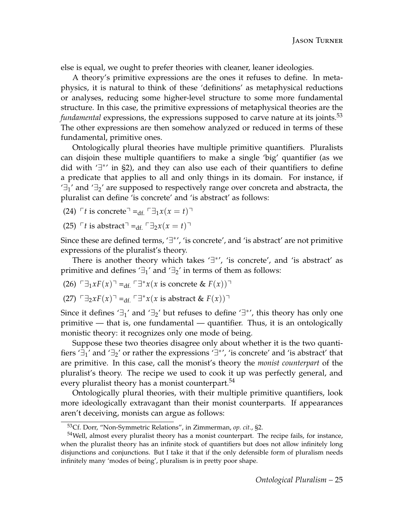else is equal, we ought to prefer theories with cleaner, leaner ideologies.

A theory's primitive expressions are the ones it refuses to define. In metaphysics, it is natural to think of these 'definitions' as metaphysical reductions or analyses, reducing some higher-level structure to some more fundamental structure. In this case, the primitive expressions of metaphysical theories are the *fundamental* expressions, the expressions supposed to carve nature at its joints.<sup>[53](#page-24-0)</sup> The other expressions are then somehow analyzed or reduced in terms of these fundamental, primitive ones.

Ontologically plural theories have multiple primitive quantifiers. Pluralists can disjoin these multiple quantifiers to make a single 'big' quantifier (as we did with '∃ ∗ ' in [§2\)](#page-8-0), and they can also use each of their quantifiers to define a predicate that applies to all and only things in its domain. For instance, if  $\exists_1'$  and  $\exists_2'$  are supposed to respectively range over concreta and abstracta, the pluralist can define 'is concrete' and 'is abstract' as follows:

 $(24)$   $\ulcorner t$  is concrete<sup> $\urcorner$ </sup> =<sub>df.</sub>  $\ulcorner \exists_1 x(x = t)$  $\urcorner$ 

(25)  $\ulcorner t$  is abstract<sup> $\urcorner$ </sup> =<sub>df.</sub>  $\ulcorner ∃_2x(x = t)$  $\urcorner$ 

Since these are defined terms, '∃\*', 'is concrete', and 'is abstract' are not primitive expressions of the pluralist's theory.

There is another theory which takes '∃<sup>\*</sup>', 'is concrete', and 'is abstract' as primitive and defines ' $\exists_1$ ' and ' $\exists_2$ ' in terms of them as follows:

(26) 
$$
\Box_1 x F(x) =_{df.} \Box^* x(x)
$$
 is concrete &  $F(x)$ )

 $(27)$   $\Box$ <sub>2</sub>*xF*(*x*)<sup>¬</sup> =<sub>df.</sub>  $\Box$ <sup>\*</sup>*x*(*x* is abstract & *F*(*x*))<sup>¬</sup>

Since it defines ' $\exists_1$ ' and ' $\exists_2$ ' but refuses to define ' $\exists^*$ ', this theory has only one primitive — that is, one fundamental — quantifier. Thus, it is an ontologically monistic theory: it recognizes only one mode of being.

Suppose these two theories disagree only about whether it is the two quantifiers ' $\exists_1$ ' and ' $\exists_2$ ' or rather the expressions ' $\exists^*$ ', 'is concrete' and 'is abstract' that are primitive. In this case, call the monist's theory the *monist counterpart* of the pluralist's theory. The recipe we used to cook it up was perfectly general, and every pluralist theory has a monist counterpart.<sup>[54](#page-24-1)</sup>

Ontologically plural theories, with their multiple primitive quantifiers, look more ideologically extravagant than their monist counterparts. If appearances aren't deceiving, monists can argue as follows:

<span id="page-24-1"></span><span id="page-24-0"></span><sup>53</sup>Cf. Dorr, "Non-Symmetric Relations", in Zimmerman, *op. cit.*, §2.

<sup>&</sup>lt;sup>54</sup>Well, almost every pluralist theory has a monist counterpart. The recipe fails, for instance, when the pluralist theory has an infinite stock of quantifiers but does not allow infinitely long disjunctions and conjunctions. But I take it that if the only defensible form of pluralism needs infinitely many 'modes of being', pluralism is in pretty poor shape.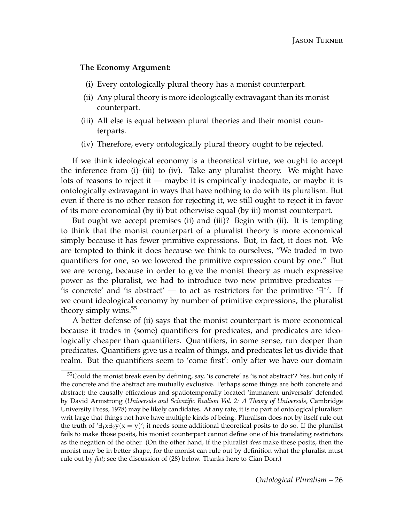#### **The Economy Argument:**

- (i) Every ontologically plural theory has a monist counterpart.
- (ii) Any plural theory is more ideologically extravagant than its monist counterpart.
- (iii) All else is equal between plural theories and their monist counterparts.
- (iv) Therefore, every ontologically plural theory ought to be rejected.

If we think ideological economy is a theoretical virtue, we ought to accept the inference from (i)–(iii) to (iv). Take any pluralist theory. We might have lots of reasons to reject it — maybe it is empirically inadequate, or maybe it is ontologically extravagant in ways that have nothing to do with its pluralism. But even if there is no other reason for rejecting it, we still ought to reject it in favor of its more economical (by ii) but otherwise equal (by iii) monist counterpart.

But ought we accept premises (ii) and (iii)? Begin with (ii). It is tempting to think that the monist counterpart of a pluralist theory is more economical simply because it has fewer primitive expressions. But, in fact, it does not. We are tempted to think it does because we think to ourselves, "We traded in two quantifiers for one, so we lowered the primitive expression count by one." But we are wrong, because in order to give the monist theory as much expressive power as the pluralist, we had to introduce two new primitive predicates — 'is concrete' and 'is abstract' — to act as restrictors for the primitive ' $\exists$ \*'. If we count ideological economy by number of primitive expressions, the pluralist theory simply wins.<sup>[55](#page-25-0)</sup>

A better defense of (ii) says that the monist counterpart is more economical because it trades in (some) quantifiers for predicates, and predicates are ideologically cheaper than quantifiers. Quantifiers, in some sense, run deeper than predicates. Quantifiers give us a realm of things, and predicates let us divide that realm. But the quantifiers seem to 'come first': only after we have our domain

<span id="page-25-0"></span> $55$ Could the monist break even by defining, say, 'is concrete' as 'is not abstract'? Yes, but only if the concrete and the abstract are mutually exclusive. Perhaps some things are both concrete and abstract; the causally efficacious and spatiotemporally located 'immanent universals' defended by David Armstrong (*Universals and Scientific Realism Vol. 2: A Theory of Universals*, Cambridge University Press, 1978) may be likely candidates. At any rate, it is no part of ontological pluralism writ large that things not have have multiple kinds of being. Pluralism does not by itself rule out the truth of  $\exists_1 x \exists_2 y (x = y)'$ ; it needs some additional theoretical posits to do so. If the pluralist fails to make those posits, his monist counterpart cannot define one of his translating restrictors as the negation of the other. (On the other hand, if the pluralist *does* make these posits, then the monist may be in better shape, for the monist can rule out by definition what the pluralist must rule out by *fiat*; see the discussion of [\(28\)](#page-27-0) below. Thanks here to Cian Dorr.)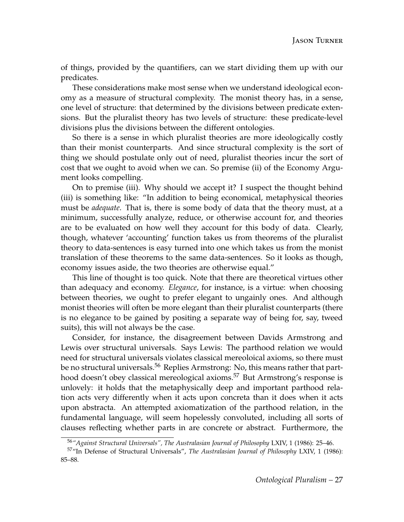of things, provided by the quantifiers, can we start dividing them up with our predicates.

These considerations make most sense when we understand ideological economy as a measure of structural complexity. The monist theory has, in a sense, one level of structure: that determined by the divisions between predicate extensions. But the pluralist theory has two levels of structure: these predicate-level divisions plus the divisions between the different ontologies.

So there is a sense in which pluralist theories are more ideologically costly than their monist counterparts. And since structural complexity is the sort of thing we should postulate only out of need, pluralist theories incur the sort of cost that we ought to avoid when we can. So premise (ii) of the Economy Argument looks compelling.

On to premise (iii). Why should we accept it? I suspect the thought behind (iii) is something like: "In addition to being economical, metaphysical theories must be *adequate*. That is, there is some body of data that the theory must, at a minimum, successfully analyze, reduce, or otherwise account for, and theories are to be evaluated on how well they account for this body of data. Clearly, though, whatever 'accounting' function takes us from theorems of the pluralist theory to data-sentences is easy turned into one which takes us from the monist translation of these theorems to the same data-sentences. So it looks as though, economy issues aside, the two theories are otherwise equal."

This line of thought is too quick. Note that there are theoretical virtues other than adequacy and economy. *Elegance*, for instance, is a virtue: when choosing between theories, we ought to prefer elegant to ungainly ones. And although monist theories will often be more elegant than their pluralist counterparts (there is no elegance to be gained by positing a separate way of being for, say, tweed suits), this will not always be the case.

Consider, for instance, the disagreement between Davids Armstrong and Lewis over structural universals. Says Lewis: The parthood relation we would need for structural universals violates classical mereoloical axioms, so there must be no structural universals.<sup>[56](#page-26-0)</sup> Replies Armstrong: No, this means rather that part-hood doesn't obey classical mereological axioms.<sup>[57](#page-26-1)</sup> But Armstrong's response is unlovely: it holds that the metaphysically deep and important parthood relation acts very differently when it acts upon concreta than it does when it acts upon abstracta. An attempted axiomatization of the parthood relation, in the fundamental language, will seem hopelessly convoluted, including all sorts of clauses reflecting whether parts in are concrete or abstract. Furthermore, the

<span id="page-26-1"></span><span id="page-26-0"></span><sup>56</sup>*"Against Structural Universals", The Australasian Journal of Philosophy* LXIV, 1 (1986): 25–46.

<sup>57</sup>"In Defense of Structural Universals", *The Australasian Journal of Philosophy* LXIV, 1 (1986): 85–88.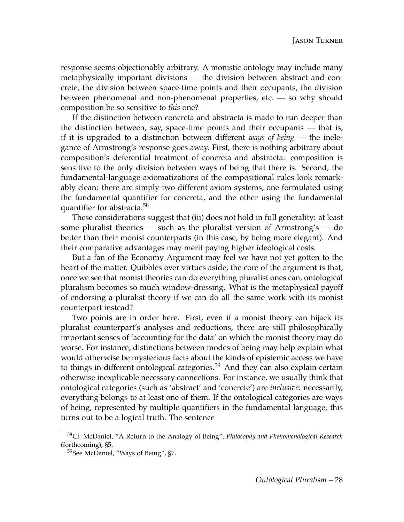response seems objectionably arbitrary. A monistic ontology may include many metaphysically important divisions — the division between abstract and concrete, the division between space-time points and their occupants, the division between phenomenal and non-phenomenal properties, etc. — so why should composition be so sensitive to *this* one?

If the distinction between concreta and abstracta is made to run deeper than the distinction between, say, space-time points and their occupants — that is, if it is upgraded to a distinction between different *ways of being* — the inelegance of Armstrong's response goes away. First, there is nothing arbitrary about composition's deferential treatment of concreta and abstracta: composition is sensitive to the only division between ways of being that there is. Second, the fundamental-language axiomatizations of the compositional rules look remarkably clean: there are simply two different axiom systems, one formulated using the fundamental quantifier for concreta, and the other using the fundamental quantifier for abstracta.<sup>[58](#page-27-1)</sup>

These considerations suggest that (iii) does not hold in full generality: at least some pluralist theories — such as the pluralist version of Armstrong's — do better than their monist counterparts (in this case, by being more elegant). And their comparative advantages may merit paying higher ideological costs.

But a fan of the Economy Argument may feel we have not yet gotten to the heart of the matter. Quibbles over virtues aside, the core of the argument is that, once we see that monist theories can do everything pluralist ones can, ontological pluralism becomes so much window-dressing. What is the metaphysical payoff of endorsing a pluralist theory if we can do all the same work with its monist counterpart instead?

Two points are in order here. First, even if a monist theory can hijack its pluralist counterpart's analyses and reductions, there are still philosophically important senses of 'accounting for the data' on which the monist theory may do worse. For instance, distinctions between modes of being may help explain what would otherwise be mysterious facts about the kinds of epistemic access we have to things in different ontological categories.<sup>[59](#page-27-2)</sup> And they can also explain certain otherwise inexplicable necessary connections. For instance, we usually think that ontological categories (such as 'abstract' and 'concrete') are *inclusive*: necessarily, everything belongs to at least one of them. If the ontological categories are ways of being, represented by multiple quantifiers in the fundamental language, this turns out to be a logical truth. The sentence

<span id="page-27-1"></span><span id="page-27-0"></span><sup>58</sup>Cf. McDaniel, "A Return to the Analogy of Being", *Philosophy and Phenomenological Research* (forthcoming), §5.

<span id="page-27-2"></span><sup>59</sup>See McDaniel, "Ways of Being", §7.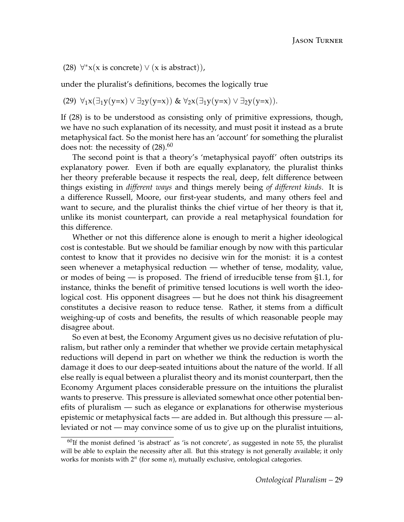(28)  $\forall^* x(x \text{ is concrete}) \lor (x \text{ is abstract})),$ 

under the pluralist's definitions, becomes the logically true

(29) 
$$
\forall_1 x (\exists_1 y (y=x) \vee \exists_2 y (y=x))
$$
 &  $\forall_2 x (\exists_1 y (y=x) \vee \exists_2 y (y=x)).$ 

If [\(28\)](#page-27-0) is to be understood as consisting only of primitive expressions, though, we have no such explanation of its necessity, and must posit it instead as a brute metaphysical fact. So the monist here has an 'account' for something the pluralist does not: the necessity of  $(28)$ .<sup>[60](#page-28-0)</sup>

The second point is that a theory's 'metaphysical payoff' often outstrips its explanatory power. Even if both are equally explanatory, the pluralist thinks her theory preferable because it respects the real, deep, felt difference between things existing in *different ways* and things merely being *of different kinds*. It is a difference Russell, Moore, our first-year students, and many others feel and want to secure, and the pluralist thinks the chief virtue of her theory is that it, unlike its monist counterpart, can provide a real metaphysical foundation for this difference.

Whether or not this difference alone is enough to merit a higher ideological cost is contestable. But we should be familiar enough by now with this particular contest to know that it provides no decisive win for the monist: it is a contest seen whenever a metaphysical reduction — whether of tense, modality, value, or modes of being — is proposed. The friend of irreducible tense from [§1.1,](#page-1-2) for instance, thinks the benefit of primitive tensed locutions is well worth the ideological cost. His opponent disagrees — but he does not think his disagreement constitutes a decisive reason to reduce tense. Rather, it stems from a difficult weighing-up of costs and benefits, the results of which reasonable people may disagree about.

So even at best, the Economy Argument gives us no decisive refutation of pluralism, but rather only a reminder that whether we provide certain metaphysical reductions will depend in part on whether we think the reduction is worth the damage it does to our deep-seated intuitions about the nature of the world. If all else really is equal between a pluralist theory and its monist counterpart, then the Economy Argument places considerable pressure on the intuitions the pluralist wants to preserve. This pressure is alleviated somewhat once other potential benefits of pluralism — such as elegance or explanations for otherwise mysterious epistemic or metaphysical facts — are added in. But although this pressure — alleviated or not — may convince some of us to give up on the pluralist intuitions,

<span id="page-28-0"></span> $60$ If the monist defined 'is abstract' as 'is not concrete', as suggested in note [55,](#page-25-0) the pluralist will be able to explain the necessity after all. But this strategy is not generally available; it only works for monists with  $2^n$  (for some *n*), mutually exclusive, ontological categories.